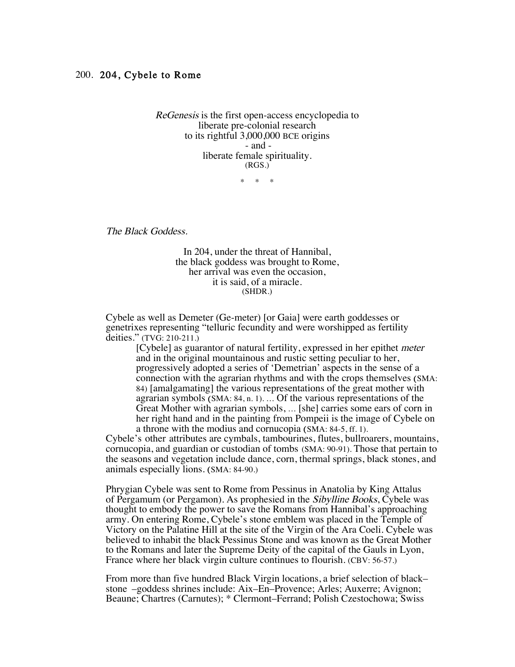ReGenesis is the first open-access encyclopedia to liberate pre-colonial research to its rightful 3,000,000 BCE origins - and liberate female spirituality. (RGS.)

 $\star$   $\rightarrow$ 

The Black Goddess.

In 204, under the threat of Hannibal, the black goddess was brought to Rome, her arrival was even the occasion, it is said, of a miracle. (SHDR.)

Cybele as well as Demeter (Ge-meter) [or Gaia] were earth goddesses or genetrixes representing "telluric fecundity and were worshipped as fertility deities." (TVG: 210-211.)

> [Cybele] as guarantor of natural fertility, expressed in her epithet meter and in the original mountainous and rustic setting peculiar to her, progressively adopted a series of 'Demetrian' aspects in the sense of a connection with the agrarian rhythms and with the crops themselves (SMA: 84) [amalgamating] the various representations of the great mother with agrarian symbols (SMA: 84, n. 1). … Of the various representations of the Great Mother with agrarian symbols, … [she] carries some ears of corn in her right hand and in the painting from Pompeii is the image of Cybele on a throne with the modius and cornucopia (SMA: 84-5, ff. 1).

Cybele's other attributes are cymbals, tambourines, flutes, bullroarers, mountains, cornucopia, and guardian or custodian of tombs (SMA: 90-91). Those that pertain to the seasons and vegetation include dance, corn, thermal springs, black stones, and animals especially lions. (SMA: 84-90.)

Phrygian Cybele was sent to Rome from Pessinus in Anatolia by King Attalus of Pergamum (or Pergamon). As prophesied in the Sibylline Books, Cybele was thought to embody the power to save the Romans from Hannibal's approaching army. On entering Rome, Cybele's stone emblem was placed in the Temple of Victory on the Palatine Hill at the site of the Virgin of the Ara Coeli. Cybele was believed to inhabit the black Pessinus Stone and was known as the Great Mother to the Romans and later the Supreme Deity of the capital of the Gauls in Lyon, France where her black virgin culture continues to flourish. (CBV: 56-57.)

From more than five hundred Black Virgin locations, a brief selection of black– stone –goddess shrines include: Aix–En–Provence; Arles; Auxerre; Avignon; Beaune; Chartres (Carnutes); \* Clermont–Ferrand; Polish Czestochowa; Swiss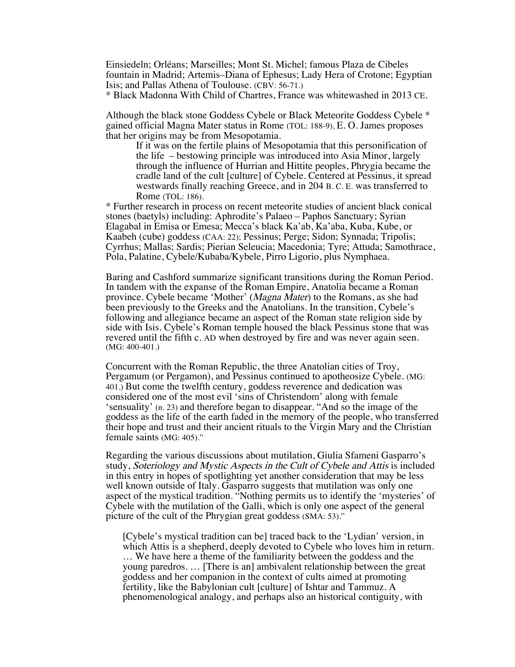Einsiedeln; Orléans; Marseilles; Mont St. Michel; famous Plaza de Cibeles fountain in Madrid; Artemis–Diana of Ephesus; Lady Hera of Crotone; Egyptian Isis; and Pallas Athena of Toulouse. (CBV: 56-71.)

\* Black Madonna With Child of Chartres, France was whitewashed in 2013 CE.

Although the black stone Goddess Cybele or Black Meteorite Goddess Cybele \* gained official Magna Mater status in Rome (TOL: 188-9), E. O. James proposes that her origins may be from Mesopotamia.

If it was on the fertile plains of Mesopotamia that this personification of the life – bestowing principle was introduced into Asia Minor, largely through the influence of Hurrian and Hittite peoples, Phrygia became the cradle land of the cult [culture] of Cybele. Centered at Pessinus, it spread westwards finally reaching Greece, and in 204 B. C. E. was transferred to Rome (TOL: 186).

\* Further research in process on recent meteorite studies of ancient black conical stones (baetyls) including: Aphrodite's Palaeo – Paphos Sanctuary; Syrian Elagabal in Emisa or Emesa; Mecca's black Ka'ab, Ka'aba, Kuba, Kube, or Kaabeh (cube) goddess (CAA: 22); Pessinus; Perge; Sidon; Synnada; Tripolis; Cyrrhus; Mallas; Sardis; Pierian Seleucia; Macedonia; Tyre; Attuda; Samothrace, Pola, Palatine, Cybele/Kubaba/Kybele, Pirro Ligorio, plus Nymphaea.

Baring and Cashford summarize significant transitions during the Roman Period. In tandem with the expanse of the Roman Empire, Anatolia became a Roman province. Cybele became 'Mother' (Magna Mater) to the Romans, as she had been previously to the Greeks and the Anatolians. In the transition, Cybele's following and allegiance became an aspect of the Roman state religion side by side with Isis. Cybele's Roman temple housed the black Pessinus stone that was revered until the fifth c. AD when destroyed by fire and was never again seen. (MG: 400-401.)

Concurrent with the Roman Republic, the three Anatolian cities of Troy, Pergamum (or Pergamon), and Pessinus continued to apotheosize Cybele. (MG: 401.) But come the twelfth century, goddess reverence and dedication was considered one of the most evil 'sins of Christendom' along with female 'sensuality' (n. 23) and therefore began to disappear. "And so the image of the goddess as the life of the earth faded in the memory of the people, who transferred their hope and trust and their ancient rituals to the Virgin Mary and the Christian female saints (MG: 405)."

Regarding the various discussions about mutilation, Giulia Sfameni Gasparro's study, Soteriology and Mystic Aspects in the Cult of Cybele and Attis is included in this entry in hopes of spotlighting yet another consideration that may be less well known outside of Italy. Gasparro suggests that mutilation was only one aspect of the mystical tradition. "Nothing permits us to identify the 'mysteries' of Cybele with the mutilation of the Galli, which is only one aspect of the general picture of the cult of the Phrygian great goddess (SMA: 53)."

[Cybele's mystical tradition can be] traced back to the 'Lydian' version, in which Attis is a shepherd, deeply devoted to Cybele who loves him in return. … We have here a theme of the familiarity between the goddess and the young paredros. … [There is an] ambivalent relationship between the great goddess and her companion in the context of cults aimed at promoting fertility, like the Babylonian cult [culture] of Ishtar and Tammuz. A phenomenological analogy, and perhaps also an historical contiguity, with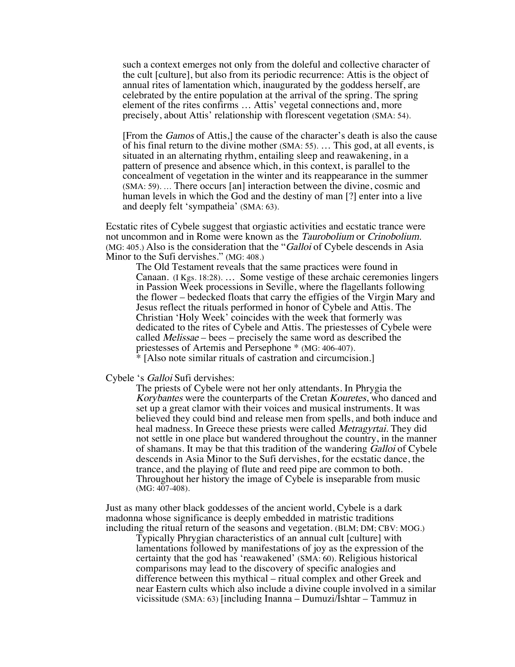such a context emerges not only from the doleful and collective character of the cult [culture], but also from its periodic recurrence: Attis is the object of annual rites of lamentation which, inaugurated by the goddess herself, are celebrated by the entire population at the arrival of the spring. The spring element of the rites confirms … Attis' vegetal connections and, more precisely, about Attis' relationship with florescent vegetation (SMA: 54).

[From the Gamos of Attis,] the cause of the character's death is also the cause of his final return to the divine mother (SMA: 55). … This god, at all events, is situated in an alternating rhythm, entailing sleep and reawakening, in a pattern of presence and absence which, in this context, is parallel to the concealment of vegetation in the winter and its reappearance in the summer (SMA: 59). … There occurs [an] interaction between the divine, cosmic and human levels in which the God and the destiny of man [?] enter into a live and deeply felt 'sympatheia' (SMA: 63).

Ecstatic rites of Cybele suggest that orgiastic activities and ecstatic trance were not uncommon and in Rome were known as the *Taurobolium* or *Crinobolium*. (MG: 405.) Also is the consideration that the "Galloi of Cybele descends in Asia Minor to the Sufi dervishes." (MG: 408.)

The Old Testament reveals that the same practices were found in Canaan. (I Kgs. 18:28). … Some vestige of these archaic ceremonies lingers in Passion Week processions in Seville, where the flagellants following the flower – bedecked floats that carry the effigies of the Virgin Mary and Jesus reflect the rituals performed in honor of Cybele and Attis. The Christian 'Holy Week' coincides with the week that formerly was dedicated to the rites of Cybele and Attis. The priestesses of Cybele were called Melissae – bees – precisely the same word as described the priestesses of Artemis and Persephone \* (MG: 406-407). \* [Also note similar rituals of castration and circumcision.]

Cybele 's Galloi Sufi dervishes:

The priests of Cybele were not her only attendants. In Phrygia the Korybantes were the counterparts of the Cretan Kouretes, who danced and set up a great clamor with their voices and musical instruments. It was believed they could bind and release men from spells, and both induce and heal madness. In Greece these priests were called *Metragyrtai*. They did not settle in one place but wandered throughout the country, in the manner of shamans. It may be that this tradition of the wandering Galloi of Cybele descends in Asia Minor to the Sufi dervishes, for the ecstatic dance, the trance, and the playing of flute and reed pipe are common to both. Throughout her history the image of Cybele is inseparable from music (MG: 407-408).

Just as many other black goddesses of the ancient world, Cybele is a dark madonna whose significance is deeply embedded in matristic traditions including the ritual return of the seasons and vegetation. (BLM; DM; CBV: MOG.)

Typically Phrygian characteristics of an annual cult [culture] with lamentations followed by manifestations of joy as the expression of the certainty that the god has 'reawakened' (SMA: 60). Religious historical comparisons may lead to the discovery of specific analogies and difference between this mythical – ritual complex and other Greek and near Eastern cults which also include a divine couple involved in a similar vicissitude (SMA: 63) [including Inanna – Dumuzi/Ishtar – Tammuz in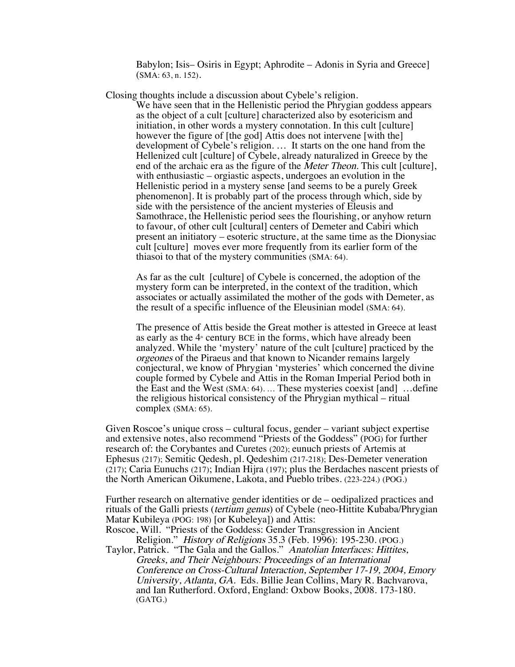Babylon; Isis– Osiris in Egypt; Aphrodite – Adonis in Syria and Greece] (SMA: 63, n. 152).

Closing thoughts include a discussion about Cybele's religion.

We have seen that in the Hellenistic period the Phrygian goddess appears as the object of a cult [culture] characterized also by esotericism and initiation, in other words a mystery connotation. In this cult [culture] however the figure of [the god] Attis does not intervene [with the] development of Cybele's religion. … It starts on the one hand from the Hellenized cult [culture] of Cybele, already naturalized in Greece by the end of the archaic era as the figure of the *Meter Theon*. This cult [culture], with enthusiastic – orgiastic aspects, undergoes an evolution in the Hellenistic period in a mystery sense [and seems to be a purely Greek phenomenon]. It is probably part of the process through which, side by side with the persistence of the ancient mysteries of Eleusis and Samothrace, the Hellenistic period sees the flourishing, or anyhow return to favour, of other cult [cultural] centers of Demeter and Cabiri which present an initiatory – esoteric structure, at the same time as the Dionysiac cult [culture] moves ever more frequently from its earlier form of the thiasoi to that of the mystery communities (SMA: 64).

As far as the cult [culture] of Cybele is concerned, the adoption of the mystery form can be interpreted, in the context of the tradition, which associates or actually assimilated the mother of the gods with Demeter, as the result of a specific influence of the Eleusinian model (SMA: 64).

The presence of Attis beside the Great mother is attested in Greece at least as early as the  $4*$  century BCE in the forms, which have already been analyzed. While the 'mystery' nature of the cult [culture] practiced by the orgeones of the Piraeus and that known to Nicander remains largely conjectural, we know of Phrygian 'mysteries' which concerned the divine couple formed by Cybele and Attis in the Roman Imperial Period both in the East and the West (SMA: 64). … These mysteries coexist [and] …define the religious historical consistency of the Phrygian mythical – ritual complex (SMA: 65).

Given Roscoe's unique cross – cultural focus, gender – variant subject expertise and extensive notes, also recommend "Priests of the Goddess" (POG) for further research of: the Corybantes and Curetes (202); eunuch priests of Artemis at Ephesus (217); Semitic Qedesh, pl. Qedeshim (217-218); Des-Demeter veneration (217); Caria Eunuchs (217); Indian Hijra (197); plus the Berdaches nascent priests of the North American Oikumene, Lakota, and Pueblo tribes. (223-224.) (POG.)

Further research on alternative gender identities or de – oedipalized practices and rituals of the Galli priests (tertium genus) of Cybele (neo-Hittite Kubaba/Phrygian Matar Kubileya (POG: 198) [or Kubeleya]) and Attis:

Roscoe, Will. "Priests of the Goddess: Gender Transgression in Ancient Religion." History of Religions 35.3 (Feb. 1996): 195-230. (POG.)

Taylor, Patrick. "The Gala and the Gallos." Anatolian Interfaces: Hittites, Greeks, and Their Neighbours: Proceedings of an International Conference on Cross-Cultural Interaction, September 17-19, 2004, Emory University, Atlanta, GA. Eds. Billie Jean Collins, Mary R. Bachvarova, and Ian Rutherford. Oxford, England: Oxbow Books, 2008. 173-180. (GATG.)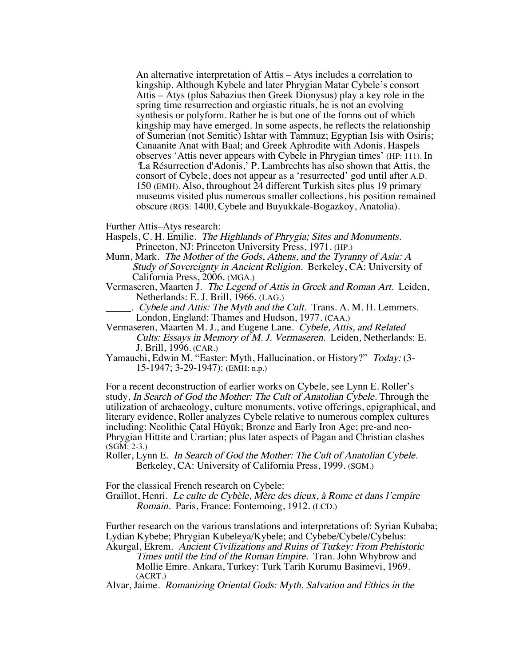An alternative interpretation of Attis – Atys includes a correlation to kingship. Although Kybele and later Phrygian Matar Cybele's consort Attis – Atys (plus Sabazius then Greek Dionysus) play a key role in the spring time resurrection and orgiastic rituals, he is not an evolving synthesis or polyform. Rather he is but one of the forms out of which kingship may have emerged. In some aspects, he reflects the relationship of Sumerian (not Semitic) Ishtar with Tammuz; Egyptian Isis with Osiris; Canaanite Anat with Baal; and Greek Aphrodite with Adonis. Haspels observes 'Attis never appears with Cybele in Phrygian times' (HP: 111). In 'La Résurrection d'Adonis,' P. Lambrechts has also shown that Attis, the consort of Cybele, does not appear as a 'resurrected' god until after A.D. 150 (EMH). Also, throughout 24 different Turkish sites plus 19 primary museums visited plus numerous smaller collections, his position remained obscure (RGS: 1400, Cybele and Buyukkale-Bogazkoy, Anatolia).

Further Attis–Atys research:

- Haspels, C. H. Emilie. The Highlands of Phrygia; Sites and Monuments. Princeton, NJ: Princeton University Press, 1971. (HP.)
- Munn, Mark. The Mother of the Gods, Athens, and the Tyranny of Asia: A Study of Sovereignty in Ancient Religion. Berkeley, CA: University of California Press, 2006. (MGA.)
- Vermaseren, Maarten J. The Legend of Attis in Greek and Roman Art. Leiden, Netherlands: E. J. Brill, 1966. (LAG.)
- $\therefore$  Cybele and Attis: The Myth and the Cult. Trans. A. M. H. Lemmers. London, England: Thames and Hudson, 1977. (CAA.)
- Vermaseren, Maarten M. J., and Eugene Lane. Cybele, Attis, and Related Cults: Essays in Memory of M. J. Vermaseren. Leiden, Netherlands: E. J. Brill, 1996. (CAR.)
- Yamauchi, Edwin M. "Easter: Myth, Hallucination, or History?" Today: (3-15-1947; 3-29-1947): (EMH: n.p.)

For a recent deconstruction of earlier works on Cybele, see Lynn E. Roller's study, In Search of God the Mother: The Cult of Anatolian Cybele. Through the utilization of archaeology, culture monuments, votive offerings, epigraphical, and literary evidence, Roller analyzes Cybele relative to numerous complex cultures including: Neolithic Çatal Hüyük; Bronze and Early Iron Age; pre-and neo-Phrygian Hittite and Urartian; plus later aspects of Pagan and Christian clashes (SGM: 2-3.)

Roller, Lynn E. In Search of God the Mother: The Cult of Anatolian Cybele. Berkeley, CA: University of California Press, 1999. (SGM.)

For the classical French research on Cybele:

Graillot, Henri. Le culte de Cybèle, Mère des dieux, à Rome et dans l'empire Romain. Paris, France: Fontemoing, 1912. (LCD.)

Further research on the various translations and interpretations of: Syrian Kubaba; Lydian Kybebe; Phrygian Kubeleya/Kybele; and Cybebe/Cybele/Cybelus:

Akurgal, Ekrem. Ancient Civilizations and Ruins of Turkey: From Prehistoric Times until the End of the Roman Empire. Tran. John Whybrow and Mollie Emre. Ankara, Turkey: Turk Tarih Kurumu Basimevi, 1969. (ACRT.)

Alvar, Jaime. Romanizing Oriental Gods: Myth, Salvation and Ethics in the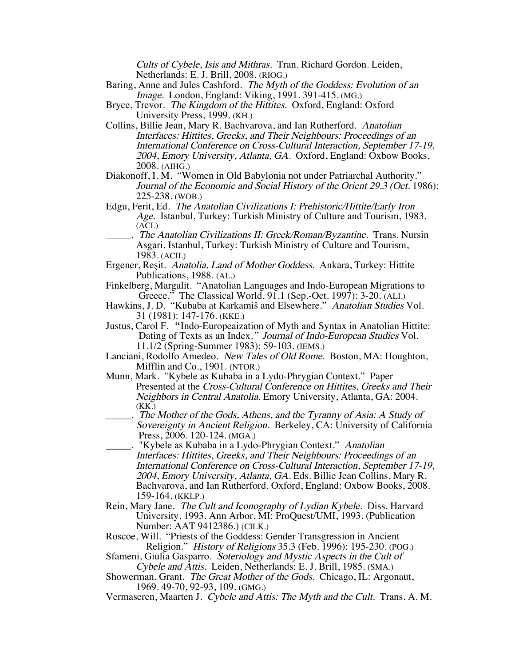Cults of Cybele, Isis and Mithras. Tran. Richard Gordon. Leiden, Netherlands: E. J. Brill, 2008. (RIOG.)

- Baring, Anne and Jules Cashford. The Myth of the Goddess: Evolution of an Image. London, England: Viking, 1991. 391-415. (MG.)
- Bryce, Trevor. The Kingdom of the Hittites. Oxford, England: Oxford University Press, 1999. (KH.)
- Collins, Billie Jean, Mary R. Bachvarova, and Ian Rutherford. Anatolian Interfaces: Hittites, Greeks, and Their Neighbours: Proceedings of an International Conference on Cross-Cultural Interaction, September 17-19, 2004, Emory University, Atlanta, GA. Oxford, England: Oxbow Books, 2008. (AIHG.)
- Diakonoff, I. M. "Women in Old Babylonia not under Patriarchal Authority." Journal of the Economic and Social History of the Orient 29.3 (Oct. 1986): 225-238. (WOB.)
- Edgu, Ferit, Ed. The Anatolian Civilizations I: Prehistoric/Hittite/Early Iron Age. Istanbul, Turkey: Turkish Ministry of Culture and Tourism, 1983. (ACI.)
- \_\_\_\_\_. The Anatolian Civilizations II: Greek/Roman/Byzantine. Trans. Nursin Asgari. Istanbul, Turkey: Turkish Ministry of Culture and Tourism, 1983. (ACII.)
- Ergener, Reşit. Anatolia, Land of Mother Goddess. Ankara, Turkey: Hittite Publications, 1988. (AL.)
- Finkelberg, Margalit. "Anatolian Languages and Indo-European Migrations to Greece." The Classical World. 91.1 (Sep.-Oct. 1997): 3-20. (ALI.)
- Hawkins, J. D. "Kubaba at Karkamiš and Elsewhere." Anatolian Studies Vol. 31 (1981): 147-176. (KKE.)
- Justus, Carol F. "Indo-Europeaization of Myth and Syntax in Anatolian Hittite: Dating of Texts as an Index." Journal of Indo-European Studies Vol. 11.1/2 (Spring-Summer 1983): 59-103. (IEMS.)
- Lanciani, Rodolfo Amedeo. New Tales of Old Rome. Boston, MA: Houghton, Mifflin and Co., 1901. (NTOR.)
- Munn, Mark. "Kybele as Kubaba in a Lydo-Phrygian Context." Paper Presented at the Cross-Cultural Conference on Hittites, Greeks and Their Neighbors in Central Anatolia. Emory University, Atlanta, GA: 2004. (KK.)
- \_\_\_\_\_. The Mother of the Gods, Athens, and the Tyranny of Asia: A Study of Sovereignty in Ancient Religion. Berkeley, CA: University of California Press, 2006. 120-124. (MGA.)
- \_\_\_\_\_. "Kybele as Kubaba in a Lydo-Phrygian Context." Anatolian Interfaces: Hittites, Greeks, and Their Neighbours: Proceedings of an International Conference on Cross-Cultural Interaction, September 17-19, 2004, Emory University, Atlanta, GA. Eds. Billie Jean Collins, Mary R. Bachvarova, and Ian Rutherford. Oxford, England: Oxbow Books, 2008. 159-164. (KKLP.)
- Rein, Mary Jane. The Cult and Iconography of Lydian Kybele. Diss. Harvard University, 1993. Ann Arbor, MI: ProQuest/UMI, 1993. (Publication Number: AAT 9412386.) (CILK.)
- Roscoe, Will. "Priests of the Goddess: Gender Transgression in Ancient Religion." History of Religions 35.3 (Feb. 1996): 195-230. (POG.)
- Sfameni, Giulia Gasparro. Soteriology and Mystic Aspects in the Cult of Cybele and Attis. Leiden, Netherlands: E. J. Brill, 1985. (SMA.)
- Showerman, Grant. The Great Mother of the Gods. Chicago, IL: Argonaut, 1969. 49-70, 92-93, 109. (GMG.)
- Vermaseren, Maarten J. Cybele and Attis: The Myth and the Cult. Trans. A. M.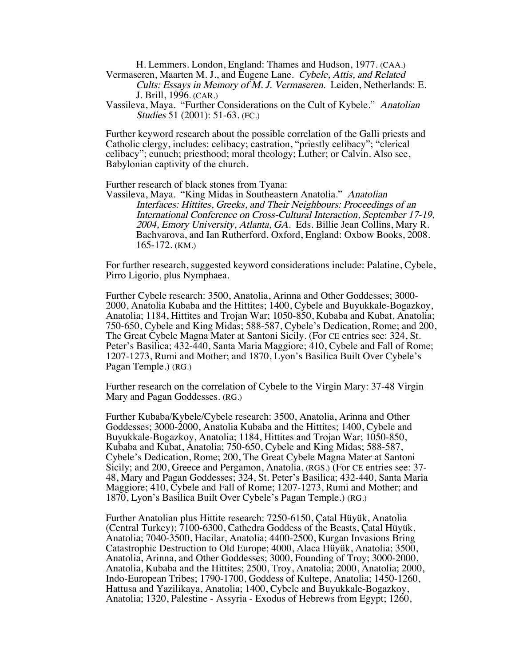H. Lemmers. London, England: Thames and Hudson, 1977. (CAA.)

Vermaseren, Maarten M. J., and Eugene Lane. Cybele, Attis, and Related Cults: Essays in Memory of M. J. Vermaseren. Leiden, Netherlands: E. J. Brill, 1996. (CAR.)

Vassileva, Maya. "Further Considerations on the Cult of Kybele." Anatolian Studies 51 (2001): 51-63. (FC.)

Further keyword research about the possible correlation of the Galli priests and Catholic clergy, includes: celibacy; castration, "priestly celibacy"; "clerical celibacy"; eunuch; priesthood; moral theology; Luther; or Calvin. Also see, Babylonian captivity of the church.

Further research of black stones from Tyana:

Vassileva, Maya. "King Midas in Southeastern Anatolia." Anatolian Interfaces: Hittites, Greeks, and Their Neighbours: Proceedings of an International Conference on Cross-Cultural Interaction, September 17-19, 2004, Emory University, Atlanta, GA. Eds. Billie Jean Collins, Mary R. Bachvarova, and Ian Rutherford. Oxford, England: Oxbow Books, 2008. 165-172. (KM.)

For further research, suggested keyword considerations include: Palatine, Cybele, Pirro Ligorio, plus Nymphaea.

Further Cybele research: 3500, Anatolia, Arinna and Other Goddesses; 3000- 2000, Anatolia Kubaba and the Hittites; 1400, Cybele and Buyukkale-Bogazkoy, Anatolia; 1184, Hittites and Trojan War; 1050-850, Kubaba and Kubat, Anatolia; 750-650, Cybele and King Midas; 588-587, Cybele's Dedication, Rome; and 200, The Great Cybele Magna Mater at Santoni Sicily. (For CE entries see: 324, St. Peter's Basilica; 432-440, Santa Maria Maggiore; 410, Cybele and Fall of Rome; 1207-1273, Rumi and Mother; and 1870, Lyon's Basilica Built Over Cybele's Pagan Temple.) (RG.)

Further research on the correlation of Cybele to the Virgin Mary: 37-48 Virgin Mary and Pagan Goddesses. (RG.)

Further Kubaba/Kybele/Cybele research: 3500, Anatolia, Arinna and Other Goddesses; 3000-2000, Anatolia Kubaba and the Hittites; 1400, Cybele and Buyukkale-Bogazkoy, Anatolia; 1184, Hittites and Trojan War; 1050-850, Kubaba and Kubat, Anatolia; 750-650, Cybele and King Midas; 588-587, Cybele's Dedication, Rome; 200, The Great Cybele Magna Mater at Santoni Sicily; and 200, Greece and Pergamon, Anatolia. (RGS.) (For CE entries see: 37- 48, Mary and Pagan Goddesses; 324, St. Peter's Basilica; 432-440, Santa Maria Maggiore; 410, Cybele and Fall of Rome; 1207-1273, Rumi and Mother; and 1870, Lyon's Basilica Built Over Cybele's Pagan Temple.) (RG.)

Further Anatolian plus Hittite research: 7250-6150, Çatal Hüyük, Anatolia (Central Turkey); 7100-6300, Cathedra Goddess of the Beasts, Çatal Hüyük, Anatolia; 7040-3500, Hacilar, Anatolia; 4400-2500, Kurgan Invasions Bring Catastrophic Destruction to Old Europe; 4000, Alaca Hüyük, Anatolia; 3500, Anatolia, Arinna, and Other Goddesses; 3000, Founding of Troy; 3000-2000, Anatolia, Kubaba and the Hittites; 2500, Troy, Anatolia; 2000, Anatolia; 2000, Indo-European Tribes; 1790-1700, Goddess of Kultepe, Anatolia; 1450-1260, Hattusa and Yazilikaya, Anatolia; 1400, Cybele and Buyukkale-Bogazkoy, Anatolia; 1320, Palestine - Assyria - Exodus of Hebrews from Egypt; 1260,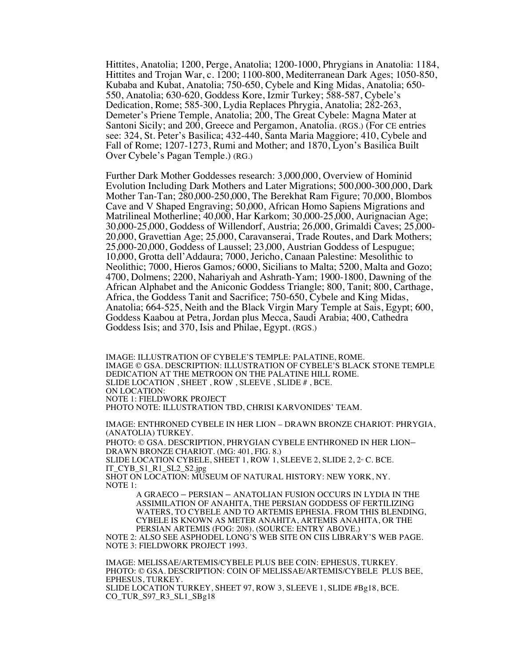Hittites, Anatolia; 1200, Perge, Anatolia; 1200-1000, Phrygians in Anatolia: 1184, Hittites and Trojan War, c. 1200; 1100-800, Mediterranean Dark Ages; 1050-850, Kubaba and Kubat, Anatolia; 750-650, Cybele and King Midas, Anatolia; 650- 550, Anatolia; 630-620, Goddess Kore, Izmir Turkey; 588-587, Cybele's Dedication, Rome; 585-300, Lydia Replaces Phrygia, Anatolia; 282-263, Demeter's Priene Temple, Anatolia; 200, The Great Cybele: Magna Mater at Santoni Sicily; and 200, Greece and Pergamon, Anatolia. (RGS.) (For CE entries see: 324, St. Peter's Basilica; 432-440, Santa Maria Maggiore; 410, Cybele and Fall of Rome; 1207-1273, Rumi and Mother; and 1870, Lyon's Basilica Built Over Cybele's Pagan Temple.) (RG.)

Further Dark Mother Goddesses research: 3,000,000, Overview of Hominid Evolution Including Dark Mothers and Later Migrations; 500,000-300,000, Dark Mother Tan-Tan; 280,000-250,000, The Berekhat Ram Figure; 70,000, Blombos Cave and V Shaped Engraving; 50,000, African Homo Sapiens Migrations and Matrilineal Motherline; 40,000, Har Karkom; 30,000-25,000, Aurignacian Age; 30,000-25,000, Goddess of Willendorf, Austria; 26,000, Grimaldi Caves; 25,000- 20,000, Gravettian Age; 25,000, Caravanserai, Trade Routes, and Dark Mothers; 25,000-20,000, Goddess of Laussel; 23,000, Austrian Goddess of Lespugue; 10,000, Grotta dell'Addaura; 7000, Jericho, Canaan Palestine: Mesolithic to Neolithic; 7000, Hieros Gamos; 6000, Sicilians to Malta; 5200, Malta and Gozo; 4700, Dolmens; 2200, Nahariyah and Ashrath-Yam; 1900-1800, Dawning of the African Alphabet and the Aniconic Goddess Triangle; 800, Tanit; 800, Carthage, Africa, the Goddess Tanit and Sacrifice; 750-650, Cybele and King Midas, Anatolia; 664-525, Neith and the Black Virgin Mary Temple at Sais, Egypt; 600, Goddess Kaabou at Petra, Jordan plus Mecca, Saudi Arabia; 400, Cathedra Goddess Isis; and 370, Isis and Philae, Egypt. (RGS.)

IMAGE: ILLUSTRATION OF CYBELE'S TEMPLE: PALATINE, ROME. IMAGE © GSA. DESCRIPTION: ILLUSTRATION OF CYBELE'S BLACK STONE TEMPLE DEDICATION AT THE METROON ON THE PALATINE HILL ROME. SLIDE LOCATION , SHEET , ROW , SLEEVE , SLIDE # , BCE. ON LOCATION: NOTE 1: FIELDWORK PROJECT PHOTO NOTE: ILLUSTRATION TBD, CHRISI KARVONIDES' TEAM.

IMAGE: ENTHRONED CYBELE IN HER LION – DRAWN BRONZE CHARIOT: PHRYGIA, (ANATOLIA) TURKEY.

PHOTO: © GSA. DESCRIPTION, PHRYGIAN CYBELE ENTHRONED IN HER LION– DRAWN BRONZE CHARIOT. (MG: 401, FIG. 8.) SLIDE LOCATION CYBELE, SHEET 1, ROW 1, SLEEVE 2, SLIDE 2,  $2^{\omega}$  C. BCE. IT\_CYB\_S1\_R1\_SL2\_S2.jpg SHOT ON LOCATION: MUSEUM OF NATURAL HISTORY: NEW YORK, NY. NOTE 1:

A GRAECO – PERSIAN – ANATOLIAN FUSION OCCURS IN LYDIA IN THE ASSIMILATION OF ANAHITA, THE PERSIAN GODDESS OF FERTILIZING WATERS, TO CYBELE AND TO ARTEMIS EPHESIA. FROM THIS BLENDING, CYBELE IS KNOWN AS METER ANAHITA, ARTEMIS ANAHITA, OR THE PERSIAN ARTEMIS (FOG: 208). (SOURCE: ENTRY ABOVE.)

NOTE 2: ALSO SEE ASPHODEL LONG'S WEB SITE ON CIIS LIBRARY'S WEB PAGE. NOTE 3: FIELDWORK PROJECT 1993.

IMAGE: MELISSAE/ARTEMIS/CYBELE PLUS BEE COIN: EPHESUS, TURKEY. PHOTO: © GSA. DESCRIPTION: COIN OF MELISSAE/ARTEMIS/CYBELE PLUS BEE, EPHESUS, TURKEY. SLIDE LOCATION TURKEY, SHEET 97, ROW 3, SLEEVE 1, SLIDE #Bg18, BCE. CO\_TUR\_S97\_R3\_SL1\_SBg18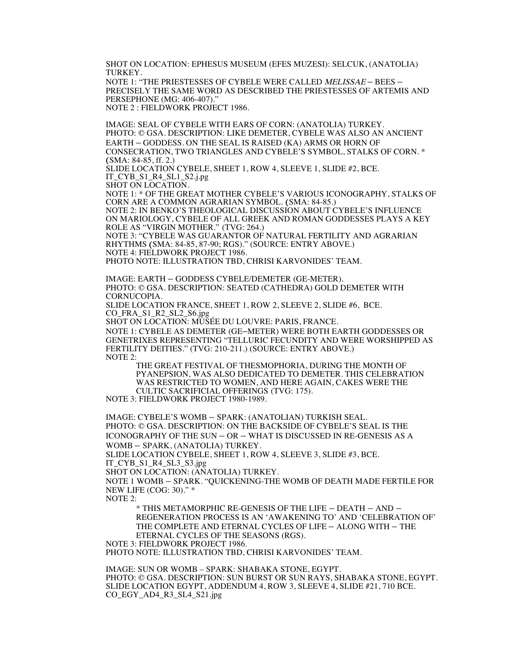SHOT ON LOCATION: EPHESUS MUSEUM (EFES MUZESI): SELCUK, (ANATOLIA) TURKEY.

NOTE 1: "THE PRIESTESSES OF CYBELE WERE CALLED MELISSAE – BEES – PRECISELY THE SAME WORD AS DESCRIBED THE PRIESTESSES OF ARTEMIS AND PERSEPHONE (MG: 406-407)." NOTE 2 : FIELDWORK PROJECT 1986.

IMAGE: SEAL OF CYBELE WITH EARS OF CORN: (ANATOLIA) TURKEY. PHOTO: © GSA. DESCRIPTION: LIKE DEMETER, CYBELE WAS ALSO AN ANCIENT EARTH – GODDESS. ON THE SEAL IS RAISED (KA) ARMS OR HORN OF CONSECRATION, TWO TRIANGLES AND CYBELE'S SYMBOL, STALKS OF CORN. \* (SMA: 84-85, ff. 2.)

SLIDE LOCATION CYBELE, SHEET 1, ROW 4, SLEEVE 1, SLIDE #2, BCE. IT\_CYB\_S1\_R4\_SL1\_S2.j.pg

SHOT ON LOCATION.

NOTE 1: \* OF THE GREAT MOTHER CYBELE'S VARIOUS ICONOGRAPHY, STALKS OF CORN ARE A COMMON AGRARIAN SYMBOL. (SMA: 84-85.) NOTE 2: IN BENKO'S THEOLOGICAL DISCUSSION ABOUT CYBELE'S INFLUENCE

ON MARIOLOGY, CYBELE OF ALL GREEK AND ROMAN GODDESSES PLAYS A KEY ROLE AS "VIRGIN MOTHER." (TVG: 264.)

NOTE 3: "CYBELE WAS GUARANTOR OF NATURAL FERTILITY AND AGRARIAN RHYTHMS (SMA: 84-85, 87-90; RGS)." (SOURCE: ENTRY ABOVE.) NOTE 4: FIELDWORK PROJECT 1986.

PHOTO NOTE: ILLUSTRATION TBD, CHRISI KARVONIDES' TEAM.

IMAGE: EARTH – GODDESS CYBELE/DEMETER (GE-METER). PHOTO: © GSA. DESCRIPTION: SEATED (CATHEDRA) GOLD DEMETER WITH CORNUCOPIA.

SLIDE LOCATION FRANCE, SHEET 1, ROW 2, SLEEVE 2, SLIDE #6, BCE. CO\_FRA\_S1\_R2\_SL2\_S6.jpg

SHOT ON LOCATION: MUSÉE DU LOUVRE: PARIS, FRANCE.

NOTE 1: CYBELE AS DEMETER (GE–METER) WERE BOTH EARTH GODDESSES OR GENETRIXES REPRESENTING "TELLURIC FECUNDITY AND WERE WORSHIPPED AS FERTILITY DEITIES." (TVG: 210-211.) (SOURCE: ENTRY ABOVE.) NOTE 2:

THE GREAT FESTIVAL OF THESMOPHORIA, DURING THE MONTH OF PYANEPSION, WAS ALSO DEDICATED TO DEMETER. THIS CELEBRATION WAS RESTRICTED TO WOMEN, AND HERE AGAIN, CAKES WERE THE CULTIC SACRIFICIAL OFFERINGS (TVG: 175).

NOTE 3: FIELDWORK PROJECT 1980-1989.

IMAGE: CYBELE'S WOMB – SPARK: (ANATOLIAN) TURKISH SEAL. PHOTO: © GSA. DESCRIPTION: ON THE BACKSIDE OF CYBELE'S SEAL IS THE ICONOGRAPHY OF THE SUN – OR – WHAT IS DISCUSSED IN RE-GENESIS AS A WOMB – SPARK, (ANATOLIA) TURKEY. SLIDE LOCATION CYBELE, SHEET 1, ROW 4, SLEEVE 3, SLIDE #3, BCE. IT\_CYB\_S1\_R4\_SL3\_S3.jpg

SHOT ON LOCATION: (ANATOLIA) TURKEY.

NOTE 1 WOMB – SPARK. "QUICKENING-THE WOMB OF DEATH MADE FERTILE FOR NEW LIFE (COG: 30)." \*

NOTE 2:

\* THIS METAMORPHIC RE-GENESIS OF THE LIFE – DEATH – AND – REGENERATION PROCESS IS AN 'AWAKENING TO' AND 'CELEBRATION OF' THE COMPLETE AND ETERNAL CYCLES OF LIFE – ALONG WITH – THE ETERNAL CYCLES OF THE SEASONS (RGS).

NOTE 3: FIELDWORK PROJECT 1986.

PHOTO NOTE: ILLUSTRATION TBD, CHRISI KARVONIDES' TEAM.

IMAGE: SUN OR WOMB – SPARK: SHABAKA STONE, EGYPT. PHOTO: © GSA. DESCRIPTION: SUN BURST OR SUN RAYS, SHABAKA STONE, EGYPT. SLIDE LOCATION EGYPT, ADDENDUM 4, ROW 3, SLEEVE 4, SLIDE #21, 710 BCE. CO\_EGY\_AD4\_R3\_SL4\_S21.jpg